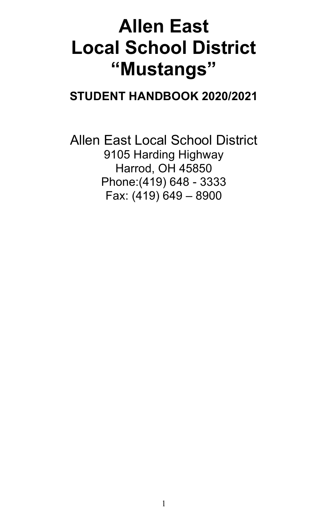# **Allen East Local School District "Mustangs"**

# **STUDENT HANDBOOK 2020/2021**

Allen East Local School District 9105 Harding Highway Harrod, OH 45850 Phone:(419) 648 - 3333 Fax: (419) 649 – 8900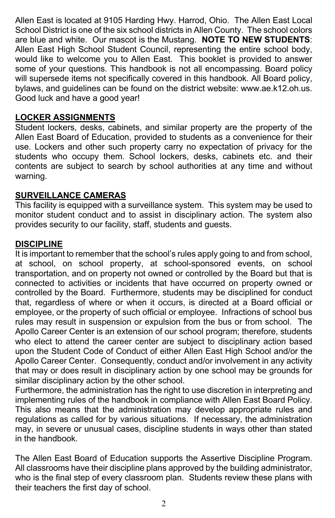Allen East is located at 9105 Harding Hwy. Harrod, Ohio. The Allen East Local School District is one of the six school districts in Allen County. The school colors are blue and white. Our mascot is the Mustang. **NOTE TO NEW STUDENTS**: Allen East High School Student Council, representing the entire school body, would like to welcome you to Allen East. This booklet is provided to answer some of your questions. This handbook is not all encompassing. Board policy will supersede items not specifically covered in this handbook. All Board policy, bylaws, and guidelines can be found on the district website: www.ae.k12.oh.us. Good luck and have a good year!

#### **LOCKER ASSIGNMENTS**

Student lockers, desks, cabinets, and similar property are the property of the Allen East Board of Education, provided to students as a convenience for their use. Lockers and other such property carry no expectation of privacy for the students who occupy them. School lockers, desks, cabinets etc. and their contents are subject to search by school authorities at any time and without warning.

#### **SURVEILLANCE CAMERAS**

This facility is equipped with a surveillance system. This system may be used to monitor student conduct and to assist in disciplinary action. The system also provides security to our facility, staff, students and guests.

#### **DISCIPLINE**

It is important to remember that the school's rules apply going to and from school, at school, on school property, at school-sponsored events, on school transportation, and on property not owned or controlled by the Board but that is connected to activities or incidents that have occurred on property owned or controlled by the Board. Furthermore, students may be disciplined for conduct that, regardless of where or when it occurs, is directed at a Board official or employee, or the property of such official or employee. Infractions of school bus rules may result in suspension or expulsion from the bus or from school. The Apollo Career Center is an extension of our school program; therefore, students who elect to attend the career center are subject to disciplinary action based upon the Student Code of Conduct of either Allen East High School and/or the Apollo Career Center. Consequently, conduct and/or involvement in any activity that may or does result in disciplinary action by one school may be grounds for similar disciplinary action by the other school.

Furthermore, the administration has the right to use discretion in interpreting and implementing rules of the handbook in compliance with Allen East Board Policy. This also means that the administration may develop appropriate rules and regulations as called for by various situations. If necessary, the administration may, in severe or unusual cases, discipline students in ways other than stated in the handbook.

The Allen East Board of Education supports the Assertive Discipline Program. All classrooms have their discipline plans approved by the building administrator, who is the final step of every classroom plan. Students review these plans with their teachers the first day of school.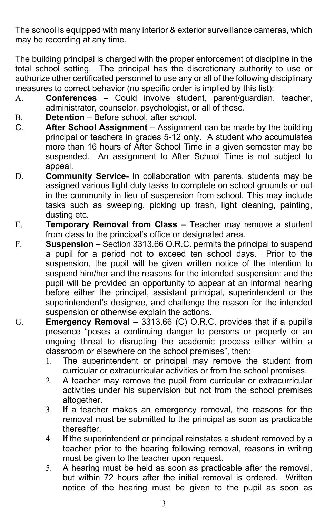The school is equipped with many interior & exterior surveillance cameras, which may be recording at any time.

The building principal is charged with the proper enforcement of discipline in the total school setting. The principal has the discretionary authority to use or authorize other certificated personnel to use any or all of the following disciplinary measures to correct behavior (no specific order is implied by this list):

- A. **Conferences** Could involve student, parent/guardian, teacher, administrator, counselor, psychologist, or all of these.
- B. **Detention**  Before school, after school.
- C. **After School Assignment** Assignment can be made by the building principal or teachers in grades 5-12 only. A student who accumulates more than 16 hours of After School Time in a given semester may be suspended. An assignment to After School Time is not subject to appeal.
- D. **Community Service-** In collaboration with parents, students may be assigned various light duty tasks to complete on school grounds or out in the community in lieu of suspension from school. This may include tasks such as sweeping, picking up trash, light cleaning, painting, dusting etc.
- E. **Temporary Removal from Class** Teacher may remove a student from class to the principal's office or designated area.
- F. **Suspension** Section 3313.66 O.R.C. permits the principal to suspend a pupil for a period not to exceed ten school days. Prior to the suspension, the pupil will be given written notice of the intention to suspend him/her and the reasons for the intended suspension: and the pupil will be provided an opportunity to appear at an informal hearing before either the principal, assistant principal, superintendent or the superintendent's designee, and challenge the reason for the intended suspension or otherwise explain the actions.
- G. **Emergency Removal** 3313.66 (C) O.R.C. provides that if a pupil's presence "poses a continuing danger to persons or property or an ongoing threat to disrupting the academic process either within a classroom or elsewhere on the school premises", then:
	- 1. The superintendent or principal may remove the student from curricular or extracurricular activities or from the school premises.
	- 2. A teacher may remove the pupil from curricular or extracurricular activities under his supervision but not from the school premises altogether.
	- 3. If a teacher makes an emergency removal, the reasons for the removal must be submitted to the principal as soon as practicable thereafter.
	- 4. If the superintendent or principal reinstates a student removed by a teacher prior to the hearing following removal, reasons in writing must be given to the teacher upon request.
	- 5. A hearing must be held as soon as practicable after the removal, but within 72 hours after the initial removal is ordered. Written notice of the hearing must be given to the pupil as soon as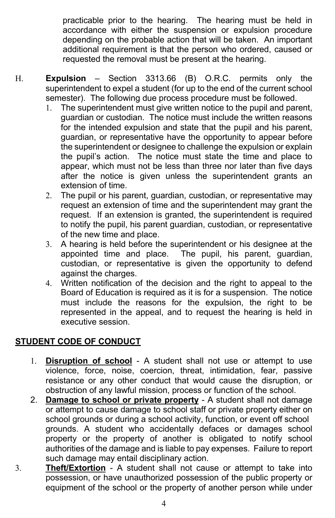practicable prior to the hearing. The hearing must be held in accordance with either the suspension or expulsion procedure depending on the probable action that will be taken. An important additional requirement is that the person who ordered, caused or requested the removal must be present at the hearing.

- H. **Expulsion** Section 3313.66 (B) O.R.C. permits only the superintendent to expel a student (for up to the end of the current school semester). The following due process procedure must be followed.
	- 1. The superintendent must give written notice to the pupil and parent, guardian or custodian. The notice must include the written reasons for the intended expulsion and state that the pupil and his parent, guardian, or representative have the opportunity to appear before the superintendent or designee to challenge the expulsion or explain the pupil's action. The notice must state the time and place to appear, which must not be less than three nor later than five days after the notice is given unless the superintendent grants an extension of time.
	- 2. The pupil or his parent, guardian, custodian, or representative may request an extension of time and the superintendent may grant the request. If an extension is granted, the superintendent is required to notify the pupil, his parent guardian, custodian, or representative of the new time and place.
	- 3. A hearing is held before the superintendent or his designee at the appointed time and place. The pupil, his parent, guardian, custodian, or representative is given the opportunity to defend against the charges.
	- 4. Written notification of the decision and the right to appeal to the Board of Education is required as it is for a suspension. The notice must include the reasons for the expulsion, the right to be represented in the appeal, and to request the hearing is held in executive session.

# **STUDENT CODE OF CONDUCT**

- 1. **Disruption of school** A student shall not use or attempt to use violence, force, noise, coercion, threat, intimidation, fear, passive resistance or any other conduct that would cause the disruption, or obstruction of any lawful mission, process or function of the school.
- 2. **Damage to school or private property** A student shall not damage or attempt to cause damage to school staff or private property either on school grounds or during a school activity, function, or event off school grounds. A student who accidentally defaces or damages school property or the property of another is obligated to notify school authorities of the damage and is liable to pay expenses. Failure to report such damage may entail disciplinary action.
- 3. **Theft/Extortion** A student shall not cause or attempt to take into possession, or have unauthorized possession of the public property or equipment of the school or the property of another person while under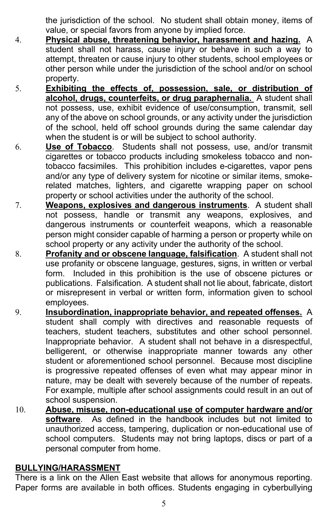the jurisdiction of the school. No student shall obtain money, items of value, or special favors from anyone by implied force.

- 4. **Physical abuse, threatening behavior, harassment and hazing.** A student shall not harass, cause injury or behave in such a way to attempt, threaten or cause injury to other students, school employees or other person while under the jurisdiction of the school and/or on school property.
- 5. **Exhibiting the effects of, possession, sale, or distribution of alcohol, drugs, counterfeits, or drug paraphernalia.** A student shall not possess, use, exhibit evidence of use/consumption, transmit, sell any of the above on school grounds, or any activity under the jurisdiction of the school, held off school grounds during the same calendar day when the student is or will be subject to school authority.
- 6. **Use of Tobacco**. Students shall not possess, use, and/or transmit cigarettes or tobacco products including smokeless tobacco and nontobacco facsimiles. This prohibition includes e-cigarettes, vapor pens and/or any type of delivery system for nicotine or similar items, smokerelated matches, lighters, and cigarette wrapping paper on school property or school activities under the authority of the school.
- 7. **Weapons, explosives and dangerous instruments**. A student shall not possess, handle or transmit any weapons, explosives, and dangerous instruments or counterfeit weapons, which a reasonable person might consider capable of harming a person or property while on school property or any activity under the authority of the school.
- 8. **Profanity and or obscene language, falsification**. A student shall not use profanity or obscene language, gestures, signs, in written or verbal form. Included in this prohibition is the use of obscene pictures or publications. Falsification. A student shall not lie about, fabricate, distort or misrepresent in verbal or written form, information given to school employees.
- 9. **Insubordination, inappropriate behavior, and repeated offenses.** A student shall comply with directives and reasonable requests of teachers, student teachers, substitutes and other school personnel. Inappropriate behavior. A student shall not behave in a disrespectful, belligerent, or otherwise inappropriate manner towards any other student or aforementioned school personnel. Because most discipline is progressive repeated offenses of even what may appear minor in nature, may be dealt with severely because of the number of repeats. For example, multiple after school assignments could result in an out of school suspension.
- 10. **Abuse, misuse, non-educational use of computer hardware and/or software**. As defined in the handbook includes but not limited to unauthorized access, tampering, duplication or non-educational use of school computers. Students may not bring laptops, discs or part of a personal computer from home.

# **BULLYING/HARASSMENT**

There is a link on the Allen East website that allows for anonymous reporting. Paper forms are available in both offices. Students engaging in cyberbullying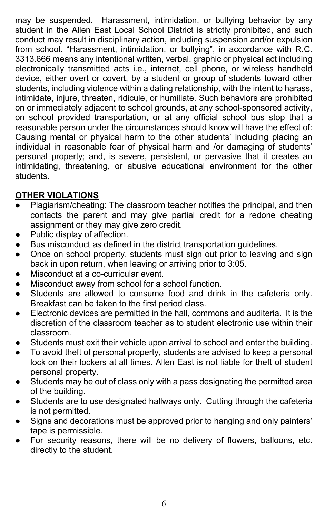may be suspended. Harassment, intimidation, or bullying behavior by any student in the Allen East Local School District is strictly prohibited, and such conduct may result in disciplinary action, including suspension and/or expulsion from school. "Harassment, intimidation, or bullying", in accordance with R.C. 3313.666 means any intentional written, verbal, graphic or physical act including electronically transmitted acts i.e., internet, cell phone, or wireless handheld device, either overt or covert, by a student or group of students toward other students, including violence within a dating relationship, with the intent to harass, intimidate, injure, threaten, ridicule, or humiliate. Such behaviors are prohibited on or immediately adjacent to school grounds, at any school-sponsored activity, on school provided transportation, or at any official school bus stop that a reasonable person under the circumstances should know will have the effect of: Causing mental or physical harm to the other students' including placing an individual in reasonable fear of physical harm and /or damaging of students' personal property; and, is severe, persistent, or pervasive that it creates an intimidating, threatening, or abusive educational environment for the other students.

# **OTHER VIOLATIONS**

- Plagiarism/cheating: The classroom teacher notifies the principal, and then contacts the parent and may give partial credit for a redone cheating assignment or they may give zero credit.
- Public display of affection.
- Bus misconduct as defined in the district transportation guidelines.
- Once on school property, students must sign out prior to leaving and sign back in upon return, when leaving or arriving prior to 3:05.
- Misconduct at a co-curricular event.
- Misconduct away from school for a school function.
- Students are allowed to consume food and drink in the cafeteria only. Breakfast can be taken to the first period class.
- Electronic devices are permitted in the hall, commons and auditeria. It is the discretion of the classroom teacher as to student electronic use within their classroom.
- Students must exit their vehicle upon arrival to school and enter the building.
- To avoid theft of personal property, students are advised to keep a personal lock on their lockers at all times. Allen East is not liable for theft of student personal property.
- Students may be out of class only with a pass designating the permitted area of the building.
- Students are to use designated hallways only. Cutting through the cafeteria is not permitted.
- Signs and decorations must be approved prior to hanging and only painters' tape is permissible.
- For security reasons, there will be no delivery of flowers, balloons, etc. directly to the student.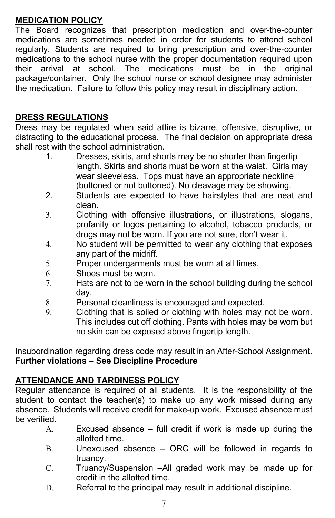# **MEDICATION POLICY**

The Board recognizes that prescription medication and over-the-counter medications are sometimes needed in order for students to attend school regularly. Students are required to bring prescription and over-the-counter medications to the school nurse with the proper documentation required upon their arrival at school. The medications must be in the original package/container. Only the school nurse or school designee may administer the medication. Failure to follow this policy may result in disciplinary action.

#### **DRESS REGULATIONS**

Dress may be regulated when said attire is bizarre, offensive, disruptive, or distracting to the educational process. The final decision on appropriate dress shall rest with the school administration.

- 1. Dresses, skirts, and shorts may be no shorter than fingertip length. Skirts and shorts must be worn at the waist. Girls may wear sleeveless.Tops must have an appropriate neckline (buttoned or not buttoned). No cleavage may be showing.
- 2. Students are expected to have hairstyles that are neat and clean.
- 3. Clothing with offensive illustrations, or illustrations, slogans, profanity or logos pertaining to alcohol, tobacco products, or drugs may not be worn. If you are not sure, don't wear it.
- 4. No student will be permitted to wear any clothing that exposes any part of the midriff.
- 5. Proper undergarments must be worn at all times.
- 6. Shoes must be worn.
- 7. Hats are not to be worn in the school building during the school day.
- 8. Personal cleanliness is encouraged and expected.
- 9. Clothing that is soiled or clothing with holes may not be worn. This includes cut off clothing. Pants with holes may be worn but no skin can be exposed above fingertip length.

Insubordination regarding dress code may result in an After-School Assignment. **Further violations – See Discipline Procedure**

# **ATTENDANCE AND TARDINESS POLICY**

Regular attendance is required of all students. It is the responsibility of the student to contact the teacher(s) to make up any work missed during any absence. Students will receive credit for make-up work. Excused absence must be verified.

- A. Excused absence full credit if work is made up during the allotted time.
- B. Unexcused absence ORC will be followed in regards to truancy.
- C. Truancy/Suspension –All graded work may be made up for credit in the allotted time.
- D. Referral to the principal may result in additional discipline.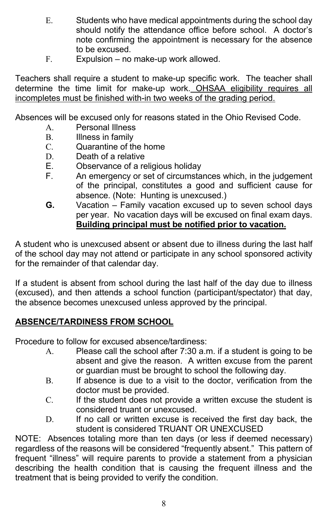- E. Students who have medical appointments during the school day should notify the attendance office before school. A doctor's note confirming the appointment is necessary for the absence to be excused.
- F. Expulsion no make-up work allowed.

Teachers shall require a student to make-up specific work. The teacher shall determine the time limit for make-up work. OHSAA eligibility requires all incompletes must be finished with-in two weeks of the grading period.

Absences will be excused only for reasons stated in the Ohio Revised Code.

- A. Personal Illness
- B. Illness in family
- C. Quarantine of the home
- D. Death of a relative
- E. Observance of a religious holiday
- F. An emergency or set of circumstances which, in the judgement of the principal, constitutes a good and sufficient cause for absence. (Note: Hunting is unexcused.)
- **G.** Vacation Family vacation excused up to seven school days per year. No vacation days will be excused on final exam days. **Building principal must be notified prior to vacation.**

A student who is unexcused absent or absent due to illness during the last half of the school day may not attend or participate in any school sponsored activity for the remainder of that calendar day.

If a student is absent from school during the last half of the day due to illness (excused), and then attends a school function (participant/spectator) that day, the absence becomes unexcused unless approved by the principal.

# **ABSENCE/TARDINESS FROM SCHOOL**

Procedure to follow for excused absence/tardiness:

- A. Please call the school after 7:30 a.m. if a student is going to be absent and give the reason. A written excuse from the parent or guardian must be brought to school the following day.
- B. If absence is due to a visit to the doctor, verification from the doctor must be provided.
- C. If the student does not provide a written excuse the student is considered truant or unexcused.
- D. If no call or written excuse is received the first day back, the student is considered TRUANT OR UNEXCUSED

NOTE: Absences totaling more than ten days (or less if deemed necessary) regardless of the reasons will be considered "frequently absent." This pattern of frequent "illness" will require parents to provide a statement from a physician describing the health condition that is causing the frequent illness and the treatment that is being provided to verify the condition.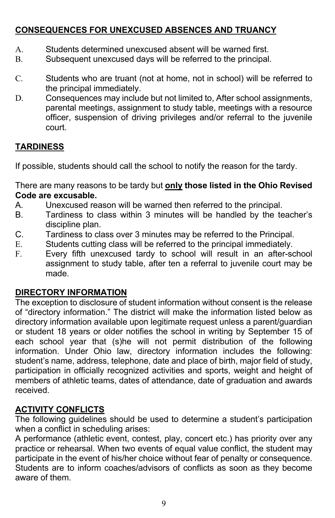# **CONSEQUENCES FOR UNEXCUSED ABSENCES AND TRUANCY**

- A. Students determined unexcused absent will be warned first.
- B. Subsequent unexcused days will be referred to the principal.
- C. Students who are truant (not at home, not in school) will be referred to the principal immediately.
- D. Consequences may include but not limited to, After school assignments, parental meetings, assignment to study table, meetings with a resource officer, suspension of driving privileges and/or referral to the juvenile court.

# **TARDINESS**

If possible, students should call the school to notify the reason for the tardy.

There are many reasons to be tardy but **only those listed in the Ohio Revised Code are excusable.**

- A. Unexcused reason will be warned then referred to the principal.
- B. Tardiness to class within 3 minutes will be handled by the teacher's discipline plan.
- C. Tardiness to class over 3 minutes may be referred to the Principal.
- E. Students cutting class will be referred to the principal immediately.
- F. Every fifth unexcused tardy to school will result in an after-school assignment to study table, after ten a referral to juvenile court may be made.

# **DIRECTORY INFORMATION**

The exception to disclosure of student information without consent is the release of "directory information." The district will make the information listed below as directory information available upon legitimate request unless a parent/guardian or student 18 years or older notifies the school in writing by September 15 of each school year that (s)he will not permit distribution of the following information. Under Ohio law, directory information includes the following: student's name, address, telephone, date and place of birth, major field of study, participation in officially recognized activities and sports, weight and height of members of athletic teams, dates of attendance, date of graduation and awards received.

# **ACTIVITY CONFLICTS**

The following guidelines should be used to determine a student's participation when a conflict in scheduling arises:

A performance (athletic event, contest, play, concert etc.) has priority over any practice or rehearsal. When two events of equal value conflict, the student may participate in the event of his/her choice without fear of penalty or consequence. Students are to inform coaches/advisors of conflicts as soon as they become aware of them.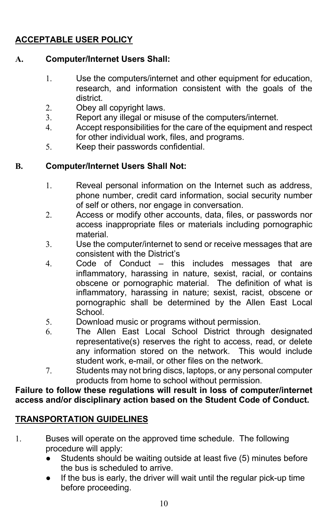# **ACCEPTABLE USER POLICY**

# **A. Computer/Internet Users Shall:**

- 1. Use the computers/internet and other equipment for education, research, and information consistent with the goals of the district.
- 2. Obey all copyright laws.
- 3. Report any illegal or misuse of the computers/internet.
- 4. Accept responsibilities for the care of the equipment and respect for other individual work, files, and programs.
- 5. Keep their passwords confidential.

# **B. Computer/Internet Users Shall Not:**

- 1. Reveal personal information on the Internet such as address, phone number, credit card information, social security number of self or others, nor engage in conversation.
- 2. Access or modify other accounts, data, files, or passwords nor access inappropriate files or materials including pornographic material.
- 3. Use the computer/internet to send or receive messages that are consistent with the District's
- 4. Code of Conduct this includes messages that are inflammatory, harassing in nature, sexist, racial, or contains obscene or pornographic material. The definition of what is inflammatory, harassing in nature; sexist, racist, obscene or pornographic shall be determined by the Allen East Local **School**
- 5. Download music or programs without permission.
- 6. The Allen East Local School District through designated representative(s) reserves the right to access, read, or delete any information stored on the network. This would include student work, e-mail, or other files on the network.
- 7. Students may not bring discs, laptops, or any personal computer products from home to school without permission.

**Failure to follow these regulations will result in loss of computer/internet access and/or disciplinary action based on the Student Code of Conduct.**

# **TRANSPORTATION GUIDELINES**

- 1. Buses will operate on the approved time schedule. The following procedure will apply:
	- Students should be waiting outside at least five (5) minutes before the bus is scheduled to arrive.
	- If the bus is early, the driver will wait until the regular pick-up time before proceeding.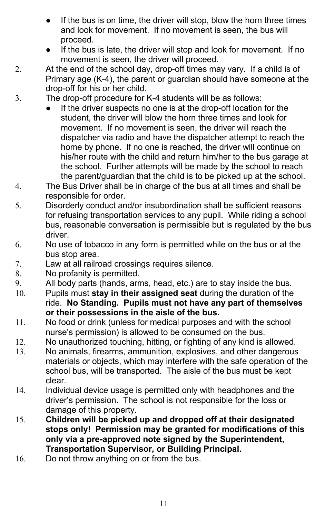- If the bus is on time, the driver will stop, blow the horn three times and look for movement. If no movement is seen, the bus will proceed.
- If the bus is late, the driver will stop and look for movement. If no movement is seen, the driver will proceed.
- 2. At the end of the school day, drop-off times may vary. If a child is of Primary age (K-4), the parent or guardian should have someone at the drop-off for his or her child.
- 3. The drop-off procedure for K-4 students will be as follows:
	- If the driver suspects no one is at the drop-off location for the student, the driver will blow the horn three times and look for movement. If no movement is seen, the driver will reach the dispatcher via radio and have the dispatcher attempt to reach the home by phone. If no one is reached, the driver will continue on his/her route with the child and return him/her to the bus garage at the school. Further attempts will be made by the school to reach the parent/guardian that the child is to be picked up at the school.
- 4. The Bus Driver shall be in charge of the bus at all times and shall be responsible for order.
- 5. Disorderly conduct and/or insubordination shall be sufficient reasons for refusing transportation services to any pupil. While riding a school bus, reasonable conversation is permissible but is regulated by the bus driver.
- 6. No use of tobacco in any form is permitted while on the bus or at the bus stop area.
- 7. Law at all railroad crossings requires silence.
- 8. No profanity is permitted.
- 9. All body parts (hands, arms, head, etc.) are to stay inside the bus.
- 10. Pupils must **stay in their assigned seat** during the duration of the ride. **No Standing. Pupils must not have any part of themselves or their possessions in the aisle of the bus.**
- 11. No food or drink (unless for medical purposes and with the school nurse's permission) is allowed to be consumed on the bus.
- 12. No unauthorized touching, hitting, or fighting of any kind is allowed.
- 13. No animals, firearms, ammunition, explosives, and other dangerous materials or objects, which may interfere with the safe operation of the school bus, will be transported. The aisle of the bus must be kept clear.
- 14. Individual device usage is permitted only with headphones and the driver's permission. The school is not responsible for the loss or damage of this property.
- 15. **Children will be picked up and dropped off at their designated stops only! Permission may be granted for modifications of this only via a pre-approved note signed by the Superintendent, Transportation Supervisor, or Building Principal.**
- 16. Do not throw anything on or from the bus.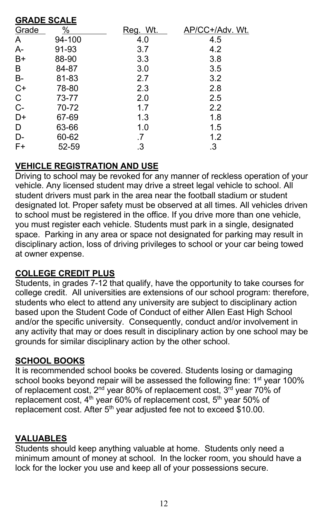#### **GRADE SCALE**

| %      | Reg. Wt.  | AP/CC+/Adv. Wt. |
|--------|-----------|-----------------|
| 94-100 | 4.0       | 4.5             |
| 91-93  | 3.7       | 4.2             |
| 88-90  | 3.3       | 3.8             |
| 84-87  | 3.0       | 3.5             |
| 81-83  | 2.7       | 3.2             |
| 78-80  | 2.3       | 2.8             |
| 73-77  | 2.0       | 2.5             |
| 70-72  | 1.7       | 2.2             |
| 67-69  | 1.3       | 1.8             |
| 63-66  | 1.0       | 1.5             |
| 60-62  | .7        | 1.2             |
| 52-59  | $\cdot$ 3 | .3              |
|        |           |                 |

# **VEHICLE REGISTRATION AND USE**

Driving to school may be revoked for any manner of reckless operation of your vehicle. Any licensed student may drive a street legal vehicle to school. All student drivers must park in the area near the football stadium or student designated lot. Proper safety must be observed at all times. All vehicles driven to school must be registered in the office. If you drive more than one vehicle, you must register each vehicle. Students must park in a single, designated space. Parking in any area or space not designated for parking may result in disciplinary action, loss of driving privileges to school or your car being towed at owner expense.

# **COLLEGE CREDIT PLUS**

Students, in grades 7-12 that qualify, have the opportunity to take courses for college credit. All universities are extensions of our school program: therefore, students who elect to attend any university are subject to disciplinary action based upon the Student Code of Conduct of either Allen East High School and/or the specific university. Consequently, conduct and/or involvement in any activity that may or does result in disciplinary action by one school may be grounds for similar disciplinary action by the other school.

# **SCHOOL BOOKS**

It is recommended school books be covered. Students losing or damaging school books beyond repair will be assessed the following fine: 1<sup>st</sup> year 100% of replacement cost,  $2^{nd}$  year 80% of replacement cost,  $3^{rd}$  year 70% of replacement cost, 4<sup>th</sup> year 60% of replacement cost, 5<sup>th</sup> year 50% of replacement cost. After  $5<sup>th</sup>$  year adjusted fee not to exceed \$10.00.

# **VALUABLES**

Students should keep anything valuable at home. Students only need a minimum amount of money at school. In the locker room, you should have a lock for the locker you use and keep all of your possessions secure.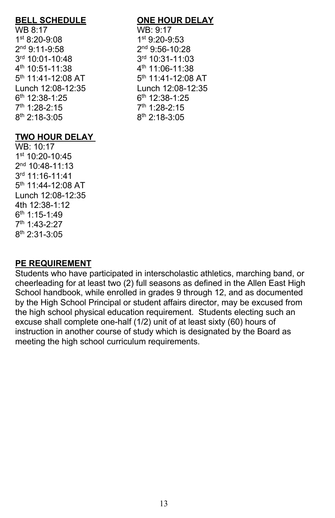WB 8:17 WB: 9:17 1st 8:20-9:08 1st 9:20-9:53  $2^{nd}$  9:11-9:58  $2^{nd}$  9:56-10:28<br> $3^{rd}$  10:01-10:48  $3^{rd}$  10:31-11:03 3rd 10:01-10:48  $5<sup>th</sup>$  11:41-12:08 AT  $6<sup>th</sup>$  12:38-1:25 6<sup>th</sup> 12:38-1:25  $7<sup>th</sup>$  1:28-2:15  $7<sup>th</sup>$  1:28-2:15 8<sup>th</sup> 2:18-3:05 8<sup>th</sup> 2:18-3:05

#### **BELL SCHEDULE ONE HOUR DELAY**

 $4^{\text{th}}$  10:51-11:38  $5^{\text{th}}$  11:41-12:08 AT  $5^{\text{th}}$  11:41-12:08 AT Lunch 12:08-12:35 Lunch 12:08-12:35

# **TWO HOUR DELAY**

WB: 10:17 1st 10:20-10:45 2nd 10:48-11:13 3rd 11:16-11:41 5th 11:44-12:08 AT Lunch 12:08-12:35 4th 12:38-1:12 6th 1:15-1:49 7th 1:43-2:27 8th 2:31-3:05

# **PE REQUIREMENT**

Students who have participated in interscholastic athletics, marching band, or cheerleading for at least two (2) full seasons as defined in the Allen East High School handbook, while enrolled in grades 9 through 12, and as documented by the High School Principal or student affairs director, may be excused from the high school physical education requirement. Students electing such an excuse shall complete one-half (1/2) unit of at least sixty (60) hours of instruction in another course of study which is designated by the Board as meeting the high school curriculum requirements.